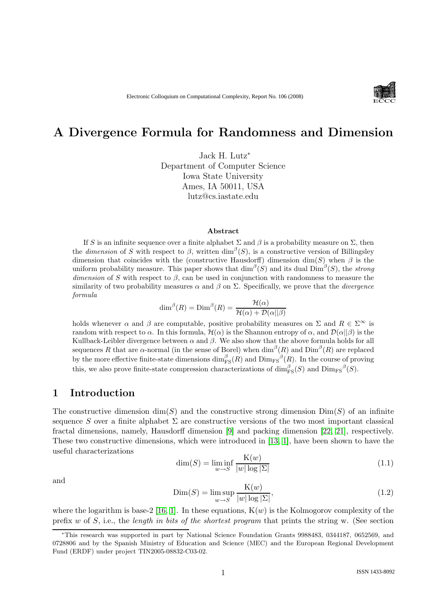

# A Divergence Formula for Randomness and Dimension

Jack H. Lutz<sup>∗</sup> Department of Computer Science Iowa State University Ames, IA 50011, USA lutz@cs.iastate.edu

#### Abstract

If S is an infinite sequence over a finite alphabet  $\Sigma$  and  $\beta$  is a probability measure on  $\Sigma$ , then the *dimension* of S with respect to  $\beta$ , written  $\dim^{\beta}(S)$ , is a constructive version of Billingsley dimension that coincides with the (constructive Hausdorff) dimension dim(S) when  $\beta$  is the uniform probability measure. This paper shows that  $\dim^{\beta}(S)$  and its dual  $\dim^{\beta}(S)$ , the *strong* dimension of S with respect to  $\beta$ , can be used in conjunction with randomness to measure the similarity of two probability measures  $\alpha$  and  $\beta$  on  $\Sigma$ . Specifically, we prove that the *divergence* formula

$$
\dim^{\beta}(R) = \text{Dim}^{\beta}(R) = \frac{\mathcal{H}(\alpha)}{\mathcal{H}(\alpha) + \mathcal{D}(\alpha||\beta)}
$$

holds whenever  $\alpha$  and  $\beta$  are computable, positive probability measures on  $\Sigma$  and  $R \in \Sigma^{\infty}$  is random with respect to  $\alpha$ . In this formula,  $\mathcal{H}(\alpha)$  is the Shannon entropy of  $\alpha$ , and  $\mathcal{D}(\alpha||\beta)$  is the Kullback-Leibler divergence between  $\alpha$  and  $\beta$ . We also show that the above formula holds for all sequences R that are  $\alpha$ -normal (in the sense of Borel) when  $\dim^{\beta}(R)$  and  $\text{Dim}^{\beta}(R)$  are replaced by the more effective finite-state dimensions  $\dim_{\rm FS}^{\beta}(R)$  and  $\rm{Dim}_{\rm FS}^{\beta}(R)$ . In the course of proving this, we also prove finite-state compression characterizations of  $\dim_{\text{FS}}^{\beta}(S)$  and  $\text{Dim}_{\text{FS}}^{\beta}(S)$ .

# 1 Introduction

The constructive dimension dim(S) and the constructive strong dimension  $Dim(S)$  of an infinite sequence S over a finite alphabet  $\Sigma$  are constructive versions of the two most important classical fractal dimensions, namely, Hausdorff dimension [\[9\]](#page-12-0) and packing dimension [\[22,](#page-13-0) [21\]](#page-13-1), respectively. These two constructive dimensions, which were introduced in [\[13,](#page-13-2) [1\]](#page-12-1), have been shown to have the useful characterizations

<span id="page-0-0"></span>
$$
\dim(S) = \liminf_{w \to S} \frac{\mathcal{K}(w)}{|w| \log |\Sigma|} \tag{1.1}
$$

and

<span id="page-0-1"></span>
$$
Dim(S) = \limsup_{w \to S} \frac{K(w)}{|w| \log |\Sigma|},
$$
\n(1.2)

where the logarithm is base-2 [\[16,](#page-13-3) [1\]](#page-12-1). In these equations,  $K(w)$  is the Kolmogorov complexity of the prefix  $w$  of  $S$ , i.e., the length in bits of the shortest program that prints the string w. (See section

<sup>∗</sup>This research was supported in part by National Science Foundation Grants 9988483, 0344187, 0652569, and 0728806 and by the Spanish Ministry of Education and Science (MEC) and the European Regional Development Fund (ERDF) under project TIN2005-08832-C03-02.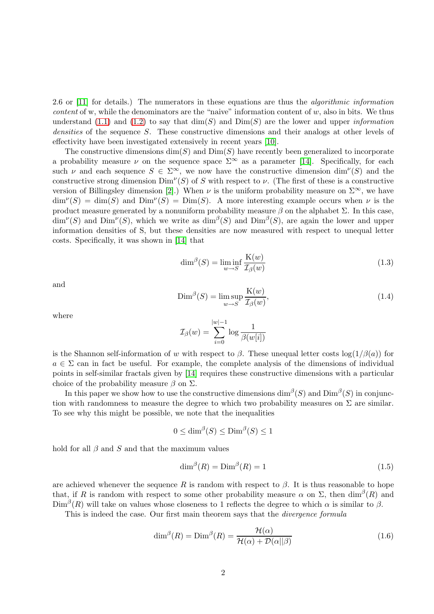2.6 or [\[11\]](#page-12-2) for details.) The numerators in these equations are thus the algorithmic information *content* of w, while the denominators are the "naive" information content of  $w$ , also in bits. We thus understand [\(1.1\)](#page-0-0) and [\(1.2\)](#page-0-1) to say that  $\dim(S)$  and  $Dim(S)$  are the lower and upper *information* densities of the sequence S. These constructive dimensions and their analogs at other levels of effectivity have been investigated extensively in recent years [\[10\]](#page-12-3).

The constructive dimensions  $\dim(S)$  and  $\dim(S)$  have recently been generalized to incorporate a probability measure  $\nu$  on the sequence space  $\Sigma^{\infty}$  as a parameter [\[14\]](#page-13-4). Specifically, for each such  $\nu$  and each sequence  $S \in \Sigma^{\infty}$ , we now have the constructive dimension  $\dim^{\nu}(S)$  and the constructive strong dimension  $\text{Dim}^{\nu}(S)$  of S with respect to  $\nu$ . (The first of these is a constructive version of Billingsley dimension [\[2\]](#page-12-4).) When  $\nu$  is the uniform probability measure on  $\Sigma^{\infty}$ , we have  $\dim^{\nu}(S) = \dim(S)$  and  $\dim^{\nu}(S) = \dim(S)$ . A more interesting example occurs when  $\nu$  is the product measure generated by a nonuniform probability measure  $\beta$  on the alphabet  $\Sigma$ . In this case,  $\dim^{\nu}(S)$  and  $\dim^{\nu}(S)$ , which we write as  $\dim^{\beta}(S)$  and  $\dim^{\beta}(S)$ , are again the lower and upper information densities of S, but these densities are now measured with respect to unequal letter costs. Specifically, it was shown in [\[14\]](#page-13-4) that

<span id="page-1-2"></span>
$$
\dim^{\beta}(S) = \liminf_{w \to S} \frac{\mathcal{K}(w)}{\mathcal{I}_{\beta}(w)}
$$
\n(1.3)

and

<span id="page-1-3"></span>
$$
\text{Dim}^{\beta}(S) = \limsup_{w \to S} \frac{\mathcal{K}(w)}{\mathcal{I}_{\beta}(w)},\tag{1.4}
$$

where

$$
\mathcal{I}_{\beta}(w) = \sum_{i=0}^{|w|-1} \log \frac{1}{\beta(w[i])}
$$

is the Shannon self-information of w with respect to  $\beta$ . These unequal letter costs  $\log(1/\beta(a))$  for  $a \in \Sigma$  can in fact be useful. For example, the complete analysis of the dimensions of individual points in self-similar fractals given by [\[14\]](#page-13-4) requires these constructive dimensions with a particular choice of the probability measure  $\beta$  on  $\Sigma$ .

In this paper we show how to use the constructive dimensions  $\dim^{\beta}(S)$  and  $\text{Dim}^{\beta}(S)$  in conjunction with randomness to measure the degree to which two probability measures on  $\Sigma$  are similar. To see why this might be possible, we note that the inequalities

$$
0 \le \dim^{\beta}(S) \le \text{Dim}^{\beta}(S) \le 1
$$

hold for all  $\beta$  and  $S$  and that the maximum values

<span id="page-1-1"></span>
$$
\dim^{\beta}(R) = \text{Dim}^{\beta}(R) = 1\tag{1.5}
$$

are achieved whenever the sequence R is random with respect to  $\beta$ . It is thus reasonable to hope that, if R is random with respect to some other probability measure  $\alpha$  on  $\Sigma$ , then  $\dim^{\beta}(R)$  and  $\text{Dim}^{\beta}(R)$  will take on values whose closeness to 1 reflects the degree to which  $\alpha$  is similar to  $\beta$ .

This is indeed the case. Our first main theorem says that the divergence formula

<span id="page-1-0"></span>
$$
\dim^{\beta}(R) = \text{Dim}^{\beta}(R) = \frac{\mathcal{H}(\alpha)}{\mathcal{H}(\alpha) + \mathcal{D}(\alpha||\beta)}
$$
(1.6)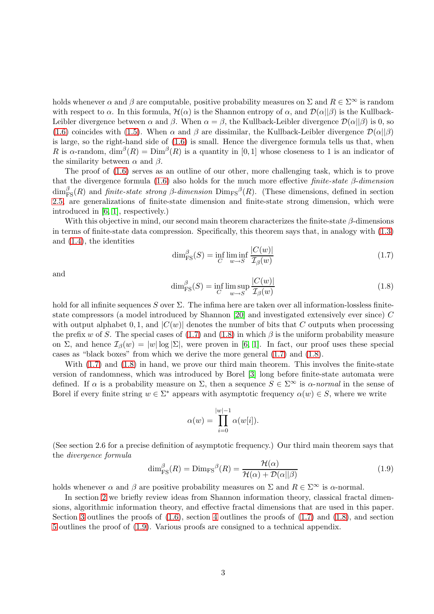holds whenever  $\alpha$  and  $\beta$  are computable, positive probability measures on  $\Sigma$  and  $R \in \Sigma^{\infty}$  is random with respect to  $\alpha$ . In this formula,  $\mathcal{H}(\alpha)$  is the Shannon entropy of  $\alpha$ , and  $\mathcal{D}(\alpha||\beta)$  is the Kullback-Leibler divergence between  $\alpha$  and  $\beta$ . When  $\alpha = \beta$ , the Kullback-Leibler divergence  $\mathcal{D}(\alpha||\beta)$  is 0, so [\(1.6\)](#page-1-0) coincides with [\(1.5\)](#page-1-1). When  $\alpha$  and  $\beta$  are dissimilar, the Kullback-Leibler divergence  $\mathcal{D}(\alpha||\beta)$ is large, so the right-hand side of [\(1.6\)](#page-1-0) is small. Hence the divergence formula tells us that, when R is  $\alpha$ -random,  $\dim^{\beta}(R) = \text{Dim}^{\beta}(R)$  is a quantity in [0,1] whose closeness to 1 is an indicator of the similarity between  $\alpha$  and  $\beta$ .

The proof of [\(1.6\)](#page-1-0) serves as an outline of our other, more challenging task, which is to prove that the divergence formula [\(1.6\)](#page-1-0) also holds for the much more effective finite-state  $\beta$ -dimension  $\dim_{\text{FS}}^{\beta}(R)$  and finite-state strong  $\beta$ -dimension  $\text{Dim}_{\text{FS}}^{\beta}(R)$ . (These dimensions, defined in section [2.5,](#page-6-0) are generalizations of finite-state dimension and finite-state strong dimension, which were introduced in [\[6,](#page-12-5) [1\]](#page-12-1), respectively.)

With this objective in mind, our second main theorem characterizes the finite-state  $\beta$ -dimensions in terms of finite-state data compression. Specifically, this theorem says that, in analogy with [\(1.3\)](#page-1-2) and [\(1.4\)](#page-1-3), the identities

<span id="page-2-0"></span>
$$
\dim_{\text{FS}}^{\beta}(S) = \inf_{C} \liminf_{w \to S} \frac{|C(w)|}{\mathcal{I}_{\beta}(w)}\tag{1.7}
$$

and

<span id="page-2-1"></span>
$$
\dim_{\text{FS}}^{\beta}(S) = \inf_{C} \limsup_{w \to S} \frac{|C(w)|}{\mathcal{I}_{\beta}(w)}
$$
\n(1.8)

hold for all infinite sequences S over  $\Sigma$ . The infima here are taken over all information-lossless finitestate compressors (a model introduced by Shannon [\[20\]](#page-13-5) and investigated extensively ever since) C with output alphabet 0, 1, and  $|C(w)|$  denotes the number of bits that C outputs when processing the prefix w of S. The special cases of  $(1.7)$  and  $(1.8)$  in which  $\beta$  is the uniform probability measure on Σ, and hence  $\mathcal{I}_{\beta}(w) = |w| \log |\Sigma|$ , were proven in [\[6,](#page-12-5) [1\]](#page-12-1). In fact, our proof uses these special cases as "black boxes" from which we derive the more general [\(1.7\)](#page-2-0) and [\(1.8\)](#page-2-1).

With  $(1.7)$  and  $(1.8)$  in hand, we prove our third main theorem. This involves the finite-state version of randomness, which was introduced by Borel [\[3\]](#page-12-6) long before finite-state automata were defined. If  $\alpha$  is a probability measure on  $\Sigma$ , then a sequence  $S \in \Sigma^{\infty}$  is  $\alpha$ -normal in the sense of Borel if every finite string  $w \in \Sigma^*$  appears with asymptotic frequency  $\alpha(w) \in S$ , where we write

$$
\alpha(w)=\prod_{i=0}^{|w|-1}\alpha(w[i]).
$$

(See section 2.6 for a precise definition of asymptotic frequency.) Our third main theorem says that the divergence formula

<span id="page-2-2"></span>
$$
\dim_{\rm FS}^{\beta}(R) = \text{Dim}_{\rm FS}^{\beta}(R) = \frac{\mathcal{H}(\alpha)}{\mathcal{H}(\alpha) + \mathcal{D}(\alpha||\beta)}\tag{1.9}
$$

holds whenever  $\alpha$  and  $\beta$  are positive probability measures on  $\Sigma$  and  $R \in \Sigma^{\infty}$  is  $\alpha$ -normal.

In section [2](#page-3-0) we briefly review ideas from Shannon information theory, classical fractal dimensions, algorithmic information theory, and effective fractal dimensions that are used in this paper. Section [3](#page-8-0) outlines the proofs of  $(1.6)$ , section [4](#page-10-0) outlines the proofs of  $(1.7)$  and  $(1.8)$ , and section [5](#page-11-0) outlines the proof of [\(1.9\)](#page-2-2). Various proofs are consigned to a technical appendix.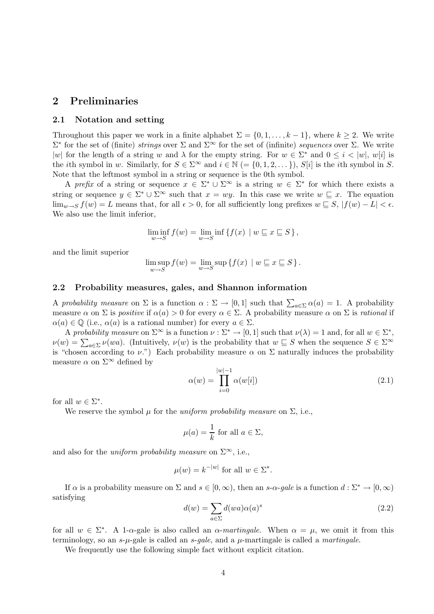# <span id="page-3-0"></span>2 Preliminaries

#### 2.1 Notation and setting

Throughout this paper we work in a finite alphabet  $\Sigma = \{0, 1, \ldots, k-1\}$ , where  $k \geq 2$ . We write  $\Sigma^*$  for the set of (finite) strings over  $\Sigma$  and  $\Sigma^{\infty}$  for the set of (infinite) sequences over  $\Sigma$ . We write |w| for the length of a string w and  $\lambda$  for the empty string. For  $w \in \Sigma^*$  and  $0 \leq i < |w|$ , w[i] is the *i*th symbol in w. Similarly, for  $S \in \Sigma^{\infty}$  and  $i \in \mathbb{N}$  (= {0, 1, 2, ...}), S[i] is the *i*th symbol in S. Note that the leftmost symbol in a string or sequence is the 0th symbol.

A prefix of a string or sequence  $x \in \Sigma^* \cup \Sigma^{\infty}$  is a string  $w \in \Sigma^*$  for which there exists a string or sequence  $y \in \Sigma^* \cup \Sigma^{\infty}$  such that  $x = wy$ . In this case we write  $w \sqsubseteq x$ . The equation  $\lim_{w\to S} f(w) = L$  means that, for all  $\epsilon > 0$ , for all sufficiently long prefixes  $w \subseteq S$ ,  $|f(w) - L| < \epsilon$ . We also use the limit inferior,

$$
\liminf_{w \to S} f(w) = \lim_{w \to S} \inf \{ f(x) \mid w \sqsubseteq x \sqsubseteq S \},
$$

and the limit superior

$$
\limsup_{w \to S} f(w) = \lim_{w \to S} \sup \{ f(x) \mid w \sqsubseteq x \sqsubseteq S \}.
$$

#### 2.2 Probability measures, gales, and Shannon information

A probability measure on  $\Sigma$  is a function  $\alpha : \Sigma \to [0,1]$  such that  $\sum_{a \in \Sigma} \alpha(a) = 1$ . A probability measure  $\alpha$  on  $\Sigma$  is *positive* if  $\alpha(a) > 0$  for every  $\alpha \in \Sigma$ . A probability measure  $\alpha$  on  $\Sigma$  is *rational* if  $\alpha(a) \in \mathbb{Q}$  (i.e.,  $\alpha(a)$  is a rational number) for every  $a \in \Sigma$ .

A probability measure on  $\Sigma^{\infty}$  is a function  $\nu : \Sigma^* \to [0,1]$  such that  $\nu(\lambda) = 1$  and, for all  $w \in \Sigma^*$ ,  $\nu(w) = \sum_{a \in \Sigma} \nu(wa)$ . (Intuitively,  $\nu(w)$  is the probability that  $w \sqsubseteq S$  when the sequence  $S \in \Sigma^{\infty}$ is "chosen according to  $\nu$ .") Each probability measure  $\alpha$  on  $\Sigma$  naturally induces the probability measure  $\alpha$  on  $\Sigma^{\infty}$  defined by

$$
\alpha(w) = \prod_{i=0}^{|w|-1} \alpha(w[i]) \tag{2.1}
$$

for all  $w \in \Sigma^*$ .

We reserve the symbol  $\mu$  for the *uniform probability measure* on  $\Sigma$ , i.e.,

$$
\mu(a) = \frac{1}{k} \text{ for all } a \in \Sigma,
$$

and also for the *uniform probability measure* on  $\Sigma^{\infty}$ , i.e.,

$$
\mu(w) = k^{-|w|} \text{ for all } w \in \Sigma^*.
$$

If  $\alpha$  is a probability measure on  $\Sigma$  and  $s \in [0, \infty)$ , then an s- $\alpha$ -gale is a function  $d : \Sigma^* \to [0, \infty)$ satisfying

<span id="page-3-1"></span>
$$
d(w) = \sum_{a \in \Sigma} d(wa)\alpha(a)^s \tag{2.2}
$$

for all  $w \in \Sigma^*$ . A 1-α-gale is also called an  $\alpha$ -martingale. When  $\alpha = \mu$ , we omit it from this terminology, so an s- $\mu$ -gale is called an s-qale, and a  $\mu$ -martingale is called a martingale.

<span id="page-3-2"></span>We frequently use the following simple fact without explicit citation.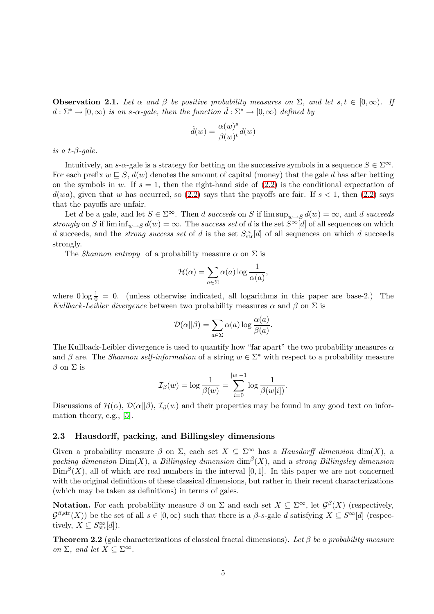**Observation 2.1.** Let  $\alpha$  and  $\beta$  be positive probability measures on  $\Sigma$ , and let  $s, t \in [0, \infty)$ . If  $d: \Sigma^* \to [0,\infty)$  is an s- $\alpha$ -gale, then the function  $\tilde{d}: \Sigma^* \to [0,\infty)$  defined by

$$
\tilde{d}(w) = \frac{\alpha(w)^s}{\beta(w)^t} d(w)
$$

is a t- $\beta$ -gale.

Intuitively, an s- $\alpha$ -gale is a strategy for betting on the successive symbols in a sequence  $S \in \Sigma^{\infty}$ . For each prefix  $w \subseteq S$ ,  $d(w)$  denotes the amount of capital (money) that the gale d has after betting on the symbols in w. If  $s = 1$ , then the right-hand side of  $(2.2)$  is the conditional expectation of  $d(wa)$ , given that w has occurred, so [\(2.2\)](#page-3-1) says that the payoffs are fair. If  $s < 1$ , then (2.2) says that the payoffs are unfair.

Let d be a gale, and let  $S \in \Sigma^{\infty}$ . Then d succeeds on S if  $\limsup_{w \to S} d(w) = \infty$ , and d succeeds strongly on S if  $\liminf_{w\to S} d(w) = \infty$ . The success set of d is the set  $S^{\infty}[d]$  of all sequences on which d succeeds, and the *strong success set* of d is the set  $S_{str}^{\infty}[d]$  of all sequences on which d succeeds strongly.

The *Shannon entropy* of a probability measure  $\alpha$  on  $\Sigma$  is

$$
\mathcal{H}(\alpha) = \sum_{a \in \Sigma} \alpha(a) \log \frac{1}{\alpha(a)},
$$

where  $0 \log \frac{1}{0} = 0$ . (unless otherwise indicated, all logarithms in this paper are base-2.) The Kullback-Leibler divergence between two probability measures  $\alpha$  and  $\beta$  on  $\Sigma$  is

$$
\mathcal{D}(\alpha||\beta) = \sum_{a \in \Sigma} \alpha(a) \log \frac{\alpha(a)}{\beta(a)}.
$$

The Kullback-Leibler divergence is used to quantify how "far apart" the two probability measures  $\alpha$ and  $\beta$  are. The *Shannon self-information* of a string  $w \in \Sigma^*$  with respect to a probability measure  $β$  on Σ is

$$
\mathcal{I}_\beta(w)=\log\frac{1}{\beta(w)}=\sum_{i=0}^{|w|-1}\log\frac{1}{\beta(w[i])}.
$$

Discussions of  $\mathcal{H}(\alpha)$ ,  $\mathcal{D}(\alpha||\beta)$ ,  $\mathcal{I}_{\beta}(w)$  and their properties may be found in any good text on information theory, e.g., [\[5\]](#page-12-7).

#### <span id="page-4-1"></span>2.3 Hausdorff, packing, and Billingsley dimensions

Given a probability measure  $\beta$  on  $\Sigma$ , each set  $X \subseteq \Sigma^{\infty}$  has a *Hausdorff dimension* dim(X), a packing dimension  $\text{Dim}(X)$ , a Billingsley dimension  $\dim^{\beta}(X)$ , and a strong Billingsley dimension  $\text{Dim}^{\beta}(X)$ , all of which are real numbers in the interval [0,1]. In this paper we are not concerned with the original definitions of these classical dimensions, but rather in their recent characterizations (which may be taken as definitions) in terms of gales.

**Notation.** For each probability measure  $\beta$  on  $\Sigma$  and each set  $X \subseteq \Sigma^{\infty}$ , let  $\mathcal{G}^{\beta}(X)$  (respectively,  $\mathcal{G}^{\beta,str}(X)$ ) be the set of all  $s \in [0,\infty)$  such that there is a  $\beta$ -s-gale d satisfying  $X \subseteq S^{\infty}[d]$  (respectively,  $X \subseteq S_{\rm str}^{\infty}[d]$ ).

<span id="page-4-0"></span>**Theorem 2.2** (gale characterizations of classical fractal dimensions). Let β be a probability measure on  $\Sigma$ , and let  $X \subseteq \Sigma^{\infty}$ .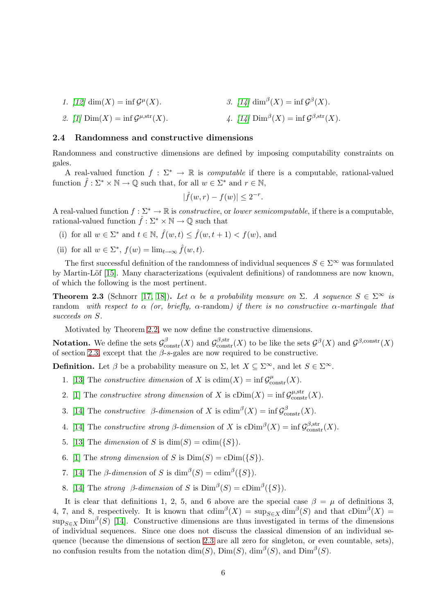1. [\[12\]](#page-13-6) dim(X) = inf  $\mathcal{G}^{\mu}(X)$ . 3. [\[14\]](#page-13-4)  $\dim^{\beta}(X) = \inf \mathcal{G}^{\beta}(X)$ .

2. 
$$
[1] \operatorname{Dim}(X) = \inf \mathcal{G}^{\mu, \text{str}}(X)
$$
. 4.  $[14] \operatorname{Dim}^{\beta}(X) = \inf \mathcal{G}^{\beta, \text{str}}(X)$ .

#### 2.4 Randomness and constructive dimensions

Randomness and constructive dimensions are defined by imposing computability constraints on gales.

A real-valued function  $f : \Sigma^* \to \mathbb{R}$  is *computable* if there is a computable, rational-valued function  $\hat{f} : \Sigma^* \times \mathbb{N} \to \mathbb{Q}$  such that, for all  $w \in \Sigma^*$  and  $r \in \mathbb{N}$ ,

$$
|\widehat{f}(w,r) - f(w)| \le 2^{-r}.
$$

A real-valued function  $f : \Sigma^* \to \mathbb{R}$  is *constructive*, or *lower semicomputable*, if there is a computable, rational-valued function  $\hat{f} : \Sigma^* \times \mathbb{N} \to \mathbb{Q}$  such that

- (i) for all  $w \in \Sigma^*$  and  $t \in \mathbb{N}$ ,  $\hat{f}(w,t) \leq \hat{f}(w,t+1) < f(w)$ , and
- (ii) for all  $w \in \Sigma^*$ ,  $f(w) = \lim_{t \to \infty} \hat{f}(w, t)$ .

The first successful definition of the randomness of individual sequences  $S \in \Sigma^{\infty}$  was formulated by Martin-Löf [\[15\]](#page-13-7). Many characterizations (equivalent definitions) of randomness are now known, of which the following is the most pertinent.

**Theorem 2.3** (Schnorr [\[17,](#page-13-8) [18\]](#page-13-9)). Let  $\alpha$  be a probability measure on  $\Sigma$ . A sequence  $S \in \Sigma^{\infty}$  is random with respect to  $\alpha$  (or, briefly,  $\alpha$ -random) if there is no constructive  $\alpha$ -martingale that succeeds on  $S$ .

Motivated by Theorem [2.2,](#page-4-0) we now define the constructive dimensions.

**Notation.** We define the sets  $\mathcal{G}^{\beta}_{\text{constr}}(X)$  and  $\mathcal{G}^{\beta,\text{str}}_{\text{constr}}(X)$  to be like the sets  $\mathcal{G}^{\beta}(X)$  and  $\mathcal{G}^{\beta,\text{constr}}(X)$ of section [2.3,](#page-4-1) except that the  $\beta$ -s-gales are now required to be constructive.

**Definition.** Let  $\beta$  be a probability measure on  $\Sigma$ , let  $X \subseteq \Sigma^{\infty}$ , and let  $S \in \Sigma^{\infty}$ .

- 1. [\[13\]](#page-13-2) The constructive dimension of X is  $\text{cdim}(X) = \inf \mathcal{G}_{\text{constr}}^{\mu}(X)$ .
- 2. [\[1\]](#page-12-1) The constructive strong dimension of X is  $\text{cDim}(X) = \inf \mathcal{G}^{\mu, \text{str}}_{\text{constr}}(X)$ .
- 3. [\[14\]](#page-13-4) The constructive  $\beta$ -dimension of X is  $\text{cdim}^{\beta}(X) = \inf \mathcal{G}_{\text{constr}}^{\beta}(X)$ .
- 4. [\[14\]](#page-13-4) The constructive strong  $\beta$ -dimension of X is  $\mathrm{cDim}^{\beta}(X) = \inf \mathcal{G}^{\beta, \text{str}}_{\text{constr}}(X)$ .
- 5. [\[13\]](#page-13-2) The dimension of S is  $\dim(S) = \dim({S})$ .
- 6. [\[1\]](#page-12-1) The strong dimension of S is  $Dim(S) = clim({S}).$
- 7. [\[14\]](#page-13-4) The  $\beta$ -dimension of S is  $\dim^{\beta}(S) = \text{cdim}^{\beta}(\{S\}).$
- 8. [\[14\]](#page-13-4) The *strong* β-dimension of S is  $Dim^{\beta}(S) = cDim^{\beta}(\{S\}).$

It is clear that definitions 1, 2, 5, and 6 above are the special case  $\beta = \mu$  of definitions 3, 4, 7, and 8, respectively. It is known that  $\dim^{\beta}(X) = \sup_{S \in X} \dim^{\beta}(S)$  and that  $\text{clim}^{\beta}(X) =$  $\sup_{S \in X}$  Dim<sup>β</sup>(S) [\[14\]](#page-13-4). Constructive dimensions are thus investigated in terms of the dimensions of individual sequences. Since one does not discuss the classical dimension of an individual sequence (because the dimensions of section [2.3](#page-4-1) are all zero for singleton, or even countable, sets), no confusion results from the notation  $\dim(S)$ ,  $\dim(S)$ ,  $\dim^{\beta}(S)$ , and  $\dim^{\beta}(S)$ .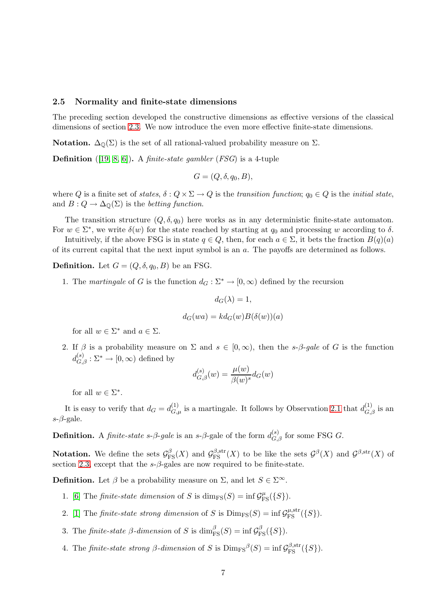#### <span id="page-6-0"></span>2.5 Normality and finite-state dimensions

The preceding section developed the constructive dimensions as effective versions of the classical dimensions of section [2.3.](#page-4-1) We now introduce the even more effective finite-state dimensions.

**Notation.**  $\Delta_0(\Sigma)$  is the set of all rational-valued probability measure on  $\Sigma$ .

**Definition** ([\[19,](#page-13-10) [8,](#page-12-8) [6\]](#page-12-5)). A *finite-state gambler* (*FSG*) is a 4-tuple

$$
G=(Q,\delta,q_0,B),
$$

where Q is a finite set of states,  $\delta: Q \times \Sigma \to Q$  is the transition function;  $q_0 \in Q$  is the initial state, and  $B: Q \to \Delta_{\mathbb{Q}}(\Sigma)$  is the betting function.

The transition structure  $(Q, \delta, q_0)$  here works as in any deterministic finite-state automaton. For  $w \in \Sigma^*$ , we write  $\delta(w)$  for the state reached by starting at  $q_0$  and processing w according to  $\delta$ .

Intuitively, if the above FSG is in state  $q \in Q$ , then, for each  $a \in \Sigma$ , it bets the fraction  $B(q)(a)$ of its current capital that the next input symbol is an a. The payoffs are determined as follows.

**Definition.** Let  $G = (Q, \delta, q_0, B)$  be an FSG.

1. The martingale of G is the function  $d_G : \Sigma^* \to [0, \infty)$  defined by the recursion

$$
d_G(\lambda)=1,
$$

$$
d_G(wa) = kd_G(w)B(\delta(w))(a)
$$

for all  $w \in \Sigma^*$  and  $a \in \Sigma$ .

2. If  $\beta$  is a probability measure on  $\Sigma$  and  $s \in [0,\infty)$ , then the s- $\beta$ -gale of G is the function  $d_{G,\beta}^{(s)}: \Sigma^* \to [0,\infty)$  defined by

$$
d_{G,\beta}^{(s)}(w) = \frac{\mu(w)}{\beta(w)^s} d_G(w)
$$

for all  $w \in \Sigma^*$ .

It is easy to verify that  $d_G = d_{G,\mu}^{(1)}$  is a martingale. It follows by Observation [2.1](#page-3-2) that  $d_{G,\beta}^{(1)}$  is an  $s-\beta$ -gale.

**Definition.** A *finite-state s-β-gale* is an *s-β*-gale of the form  $d_{G,\beta}^{(s)}$  for some FSG  $G$ .

**Notation.** We define the sets  $\mathcal{G}_{\text{FS}}^{\beta}(X)$  and  $\mathcal{G}_{\text{FS}}^{\beta,\text{str}}(X)$  to be like the sets  $\mathcal{G}^{\beta}(X)$  and  $\mathcal{G}^{\beta,\text{str}}(X)$  of section [2.3,](#page-4-1) except that the  $s-\beta$ -gales are now required to be finite-state.

**Definition.** Let  $\beta$  be a probability measure on  $\Sigma$ , and let  $S \in \Sigma^{\infty}$ .

- 1. [\[6\]](#page-12-5) The *finite-state dimension* of S is  $\dim_{\text{FS}}(S) = \inf \mathcal{G}^{\mu}_{\text{FS}}(\{S\}).$
- 2. [\[1\]](#page-12-1) The *finite-state strong dimension* of S is  $\text{Dim}_{\text{FS}}(S) = \inf \mathcal{G}_{\text{FS}}^{\mu, \text{str}}(\{S\}).$
- 3. The finite-state  $\beta$ -dimension of S is  $\dim_{\text{FS}}^{\beta}(S) = \inf \mathcal{G}_{\text{FS}}^{\beta}(\{S\}).$
- 4. The finite-state strong  $\beta$ -dimension of S is  $\text{Dim}_{\text{FS}}^{\beta}(S) = \inf \mathcal{G}_{\text{FS}}^{\beta, \text{str}}(\{S\}).$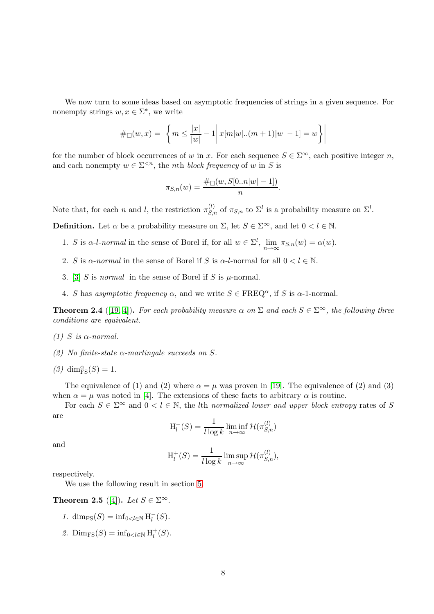We now turn to some ideas based on asymptotic frequencies of strings in a given sequence. For nonempty strings  $w, x \in \Sigma^*$ , we write

$$
\#_{\Box}(w, x) = \left| \left\{ m \le \frac{|x|}{|w|} - 1 \right| x[m|w|..(m+1)|w| - 1] = w \right\} \right|
$$

for the number of block occurrences of w in x. For each sequence  $S \in \Sigma^{\infty}$ , each positive integer n, and each nonempty  $w \in \Sigma^{\leq n}$ , the *nth block frequency* of w in S is

$$
\pi_{S,n}(w) = \frac{\# \Box(w, S[0..n|w|-1])}{n}
$$

.

Note that, for each n and l, the restriction  $\pi_{S,n}^{(l)}$  of  $\pi_{S,n}$  to  $\Sigma^l$  is a probability measure on  $\Sigma^l$ .

**Definition.** Let  $\alpha$  be a probability measure on  $\Sigma$ , let  $S \in \Sigma^{\infty}$ , and let  $0 < l \in \mathbb{N}$ .

- 1. S is  $\alpha$ -l-normal in the sense of Borel if, for all  $w \in \Sigma^l$ ,  $\lim_{n \to \infty} \pi_{S,n}(w) = \alpha(w)$ .
- 2. S is  $\alpha$ -normal in the sense of Borel if S is  $\alpha$ -l-normal for all  $0 < l \in \mathbb{N}$ .
- 3. [\[3\]](#page-12-6) S is normal in the sense of Borel if S is  $\mu$ -normal.
- 4. S has asymptotic frequency  $\alpha$ , and we write  $S \in \text{FREQ}^{\alpha}$ , if S is  $\alpha$ -1-normal.

**Theorem 2.4** ([\[19,](#page-13-10) [4\]](#page-12-9)). For each probability measure  $\alpha$  on  $\Sigma$  and each  $S \in \Sigma^{\infty}$ , the following three conditions are equivalent.

- (1) S is  $\alpha$ -normal.
- (2) No finite-state  $\alpha$ -martingale succeeds on S.
- (3)  $\dim_{\text{FS}}^{\alpha}(S) = 1$ .

The equivalence of (1) and (2) where  $\alpha = \mu$  was proven in [\[19\]](#page-13-10). The equivalence of (2) and (3) when  $\alpha = \mu$  was noted in [\[4\]](#page-12-9). The extensions of these facts to arbitrary  $\alpha$  is routine.

For each  $S \in \Sigma^{\infty}$  and  $0 < l \in \mathbb{N}$ , the *l*th normalized lower and upper block entropy rates of S are

$$
H_l^-(S) = \frac{1}{l \log k} \liminf_{n \to \infty} \mathcal{H}(\pi_{S,n}^{(l)})
$$

and

$$
H_l^+(S) = \frac{1}{l \log k} \limsup_{n \to \infty} \mathcal{H}(\pi_{S,n}^{(l)}),
$$

<span id="page-7-0"></span>respectively.

We use the following result in section [5.](#page-11-0)

Theorem 2.5 ([\[4\]](#page-12-9)). Let  $S \in \Sigma^{\infty}$ .

- 1.  $\dim_{\text{FS}}(S) = \inf_{0 < l \in \mathbb{N}} H_l^-(S)$ .
- 2. Dim<sub>FS</sub> $(S)$  = inf<sub>0<leN</sub> H<sub>l</sub><sup>+</sup>  $_{l}^{+}(S).$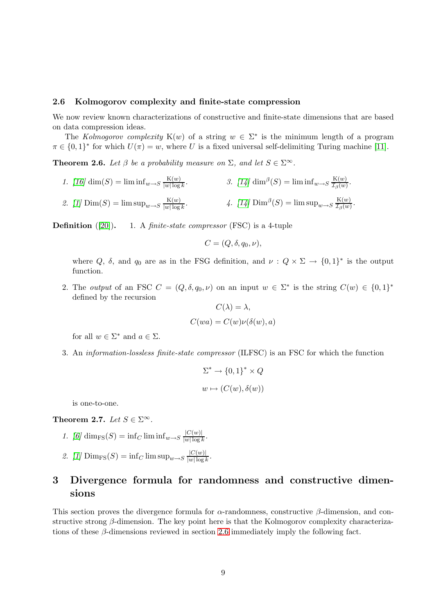#### <span id="page-8-1"></span>2.6 Kolmogorov complexity and finite-state compression

We now review known characterizations of constructive and finite-state dimensions that are based on data compression ideas.

<span id="page-8-2"></span>The Kolmogorov complexity K(w) of a string  $w \in \Sigma^*$  is the minimum length of a program  $\pi \in \{0,1\}^*$  for which  $U(\pi) = w$ , where U is a fixed universal self-delimiting Turing machine [\[11\]](#page-12-2).

**Theorem 2.6.** Let  $\beta$  be a probability measure on  $\Sigma$ , and let  $S \in \Sigma^{\infty}$ .

1. 
$$
[16] \dim(S) = \liminf_{w \to S} \frac{K(w)}{|w|\log k}
$$
.  
\n2.  $[1] \dim(S) = \limsup_{w \to S} \frac{K(w)}{|w|\log k}$ .  
\n3.  $[14] \dim^{\beta}(S) = \liminf_{w \to S} \frac{K(w)}{\mathcal{I}_{\beta}(w)}$ .  
\n4.  $[14] \dim^{\beta}(S) = \limsup_{w \to S} \frac{K(w)}{\mathcal{I}_{\beta}(w)}$ .

**Definition** ([\[20\]](#page-13-5)). 1. A *finite-state compressor* (FSC) is a 4-tuple

$$
C=(Q,\delta,q_0,\nu),
$$

where Q,  $\delta$ , and  $q_0$  are as in the FSG definition, and  $\nu: Q \times \Sigma \to \{0,1\}^*$  is the output function.

2. The *output* of an FSC  $C = (Q, \delta, q_0, \nu)$  on an input  $w \in \Sigma^*$  is the string  $C(w) \in \{0,1\}^*$ defined by the recursion

$$
C(\lambda) = \lambda,
$$
  

$$
C(wa) = C(w)\nu(\delta(w), a)
$$

for all  $w \in \Sigma^*$  and  $a \in \Sigma$ .

3. An information-lossless finite-state compressor (ILFSC) is an FSC for which the function

$$
\Sigma^* \to \{0,1\}^* \times Q
$$
  

$$
w \mapsto (C(w), \delta(w))
$$

is one-to-one.

<span id="page-8-4"></span>Theorem 2.7. Let  $S \in \Sigma^{\infty}$ .

- 1. [\[6\]](#page-12-5) dim<sub>FS</sub>(S) = inf<sub>C</sub> lim inf<sub>w→S</sub>  $\frac{|C(w)|}{|w|\log p}$  $\frac{|C(w)|}{|w| \log k}$ .
- 2. [\[1\]](#page-12-1)  $\text{Dim}_{\text{FS}}(S) = \inf_C \limsup_{w \to S} \frac{|C(w)|}{|w|\log P}$  $\frac{|C(w)|}{|w| \log k}$ .

# <span id="page-8-0"></span>3 Divergence formula for randomness and constructive dimensions

<span id="page-8-3"></span>This section proves the divergence formula for  $\alpha$ -randomness, constructive  $\beta$ -dimension, and constructive strong β-dimension. The key point here is that the Kolmogorov complexity characterizations of these  $\beta$ -dimensions reviewed in section [2.6](#page-8-1) immediately imply the following fact.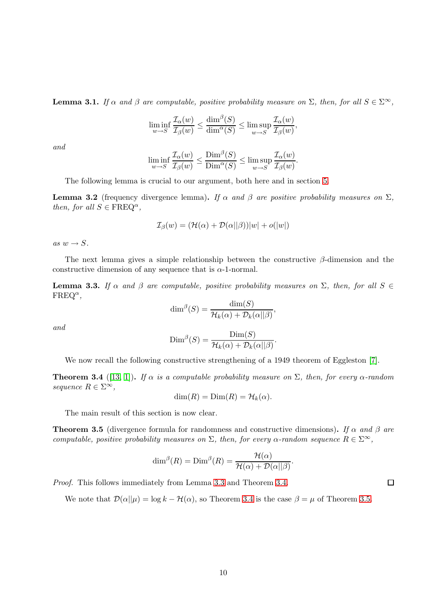**Lemma 3.1.** If  $\alpha$  and  $\beta$  are computable, positive probability measure on  $\Sigma$ , then, for all  $S \in \Sigma^{\infty}$ ,

$$
\liminf_{w \to S} \frac{\mathcal{I}_{\alpha}(w)}{\mathcal{I}_{\beta}(w)} \le \frac{\dim^{\beta}(S)}{\dim^{\alpha}(S)} \le \limsup_{w \to S} \frac{\mathcal{I}_{\alpha}(w)}{\mathcal{I}_{\beta}(w)},
$$

and

$$
\liminf_{w \to S} \frac{\mathcal{I}_{\alpha}(w)}{\mathcal{I}_{\beta}(w)} \le \frac{\text{Dim}^{\beta}(S)}{\text{Dim}^{\alpha}(S)} \le \limsup_{w \to S} \frac{\mathcal{I}_{\alpha}(w)}{\mathcal{I}_{\beta}(w)}
$$

.

<span id="page-9-3"></span>The following lemma is crucial to our argument, both here and in section [5.](#page-11-0)

**Lemma 3.2** (frequency divergence lemma). If  $\alpha$  and  $\beta$  are positive probability measures on  $\Sigma$ , then, for all  $S \in \text{FREG}^{\alpha}$ ,

$$
\mathcal{I}_{\beta}(w) = (\mathcal{H}(\alpha) + \mathcal{D}(\alpha||\beta))|w| + o(|w|)
$$

as  $w \rightarrow S$ .

<span id="page-9-0"></span>The next lemma gives a simple relationship between the constructive  $\beta$ -dimension and the constructive dimension of any sequence that is  $\alpha$ -1-normal.

**Lemma 3.3.** If  $\alpha$  and  $\beta$  are computable, positive probability measures on  $\Sigma$ , then, for all  $S \in$  $\text{FREQ}^{\alpha}$ ,

$$
\dim^{\beta}(S) = \frac{\dim(S)}{\mathcal{H}_k(\alpha) + \mathcal{D}_k(\alpha||\beta)},
$$

and

$$
\text{Dim}^{\beta}(S) = \frac{\text{Dim}(S)}{\mathcal{H}_k(\alpha) + \mathcal{D}_k(\alpha||\beta)}.
$$

<span id="page-9-1"></span>We now recall the following constructive strengthening of a 1949 theorem of Eggleston [\[7\]](#page-12-10).

**Theorem 3.4** ([\[13,](#page-13-2) [1\]](#page-12-1)). If  $\alpha$  is a computable probability measure on  $\Sigma$ , then, for every  $\alpha$ -random sequence  $R \in \Sigma^{\infty}$ ,

 $\dim(R) = \text{Dim}(R) = \mathcal{H}_k(\alpha).$ 

<span id="page-9-2"></span>The main result of this section is now clear.

**Theorem 3.5** (divergence formula for randomness and constructive dimensions). If  $\alpha$  and  $\beta$  are computable, positive probability measures on  $\Sigma$ , then, for every  $\alpha$ -random sequence  $R \in \Sigma^{\infty}$ ,

$$
\dim^{\beta}(R) = \text{Dim}^{\beta}(R) = \frac{\mathcal{H}(\alpha)}{\mathcal{H}(\alpha) + \mathcal{D}(\alpha||\beta)}.
$$

Proof. This follows immediately from Lemma [3.3](#page-9-0) and Theorem [3.4.](#page-9-1)

We note that  $\mathcal{D}(\alpha||\mu) = \log k - \mathcal{H}(\alpha)$ , so Theorem [3.4](#page-9-1) is the case  $\beta = \mu$  of Theorem [3.5.](#page-9-2)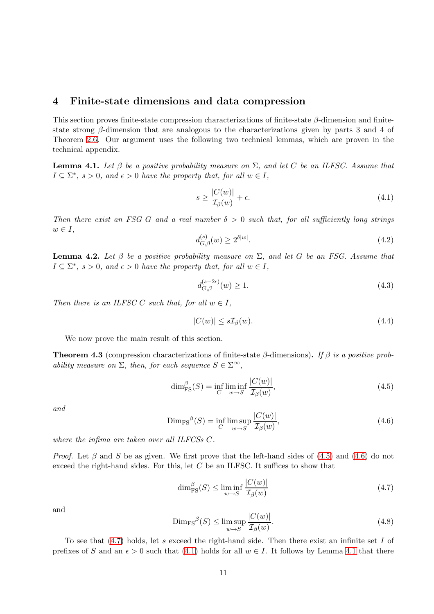## <span id="page-10-0"></span>4 Finite-state dimensions and data compression

This section proves finite-state compression characterizations of finite-state  $\beta$ -dimension and finitestate strong  $\beta$ -dimension that are analogous to the characterizations given by parts 3 and 4 of Theorem [2.6.](#page-8-2) Our argument uses the following two technical lemmas, which are proven in the technical appendix.

<span id="page-10-5"></span>**Lemma 4.1.** Let  $\beta$  be a positive probability measure on  $\Sigma$ , and let C be an ILFSC. Assume that  $I \subseteq \Sigma^*$ ,  $s > 0$ , and  $\epsilon > 0$  have the property that, for all  $w \in I$ ,

<span id="page-10-4"></span>
$$
s \ge \frac{|C(w)|}{\mathcal{I}_{\beta}(w)} + \epsilon. \tag{4.1}
$$

Then there exist an FSG G and a real number  $\delta > 0$  such that, for all sufficiently long strings  $w \in I$ ,

<span id="page-10-11"></span>
$$
d_{G,\beta}^{(s)}(w) \ge 2^{\delta|w|}.\tag{4.2}
$$

<span id="page-10-8"></span>**Lemma 4.2.** Let  $\beta$  be a positive probability measure on  $\Sigma$ , and let G be an FSG. Assume that  $I \subseteq \Sigma^*$ ,  $s > 0$ , and  $\epsilon > 0$  have the property that, for all  $w \in I$ ,

<span id="page-10-7"></span>
$$
d_{G,\beta}^{(s-2\epsilon)}(w) \ge 1.
$$
\n(4.3)

Then there is an ILFSC C such that, for all  $w \in I$ ,

<span id="page-10-9"></span>
$$
|C(w)| \le s\mathcal{I}_{\beta}(w). \tag{4.4}
$$

<span id="page-10-10"></span>We now prove the main result of this section.

**Theorem 4.3** (compression characterizations of finite-state  $\beta$ -dimensions). If  $\beta$  is a positive probability measure on  $\Sigma$ , then, for each sequence  $S \in \Sigma^{\infty}$ ,

<span id="page-10-1"></span>
$$
\dim_{\text{FS}}^{\beta}(S) = \inf_{C} \liminf_{w \to S} \frac{|C(w)|}{\mathcal{I}_{\beta}(w)},\tag{4.5}
$$

and

<span id="page-10-2"></span>
$$
\text{Dim}_{\text{FS}}^{\beta}(S) = \inf_{C} \limsup_{w \to S} \frac{|C(w)|}{\mathcal{I}_{\beta}(w)},\tag{4.6}
$$

where the infima are taken over all ILFCSs C.

*Proof.* Let  $\beta$  and S be as given. We first prove that the left-hand sides of [\(4.5\)](#page-10-1) and [\(4.6\)](#page-10-2) do not exceed the right-hand sides. For this, let  $C$  be an ILFSC. It suffices to show that

<span id="page-10-3"></span>
$$
\dim_{\text{FS}}^{\beta}(S) \le \liminf_{w \to S} \frac{|C(w)|}{\mathcal{I}_{\beta}(w)}\tag{4.7}
$$

and

<span id="page-10-6"></span>
$$
\text{Dim}_{\text{FS}}^{\beta}(S) \le \limsup_{w \to S} \frac{|C(w)|}{\mathcal{I}_{\beta}(w)}.\tag{4.8}
$$

To see that  $(4.7)$  holds, let s exceed the right-hand side. Then there exist an infinite set I of prefixes of S and an  $\epsilon > 0$  such that [\(4.1\)](#page-10-4) holds for all  $w \in I$ . It follows by Lemma [4.1](#page-10-5) that there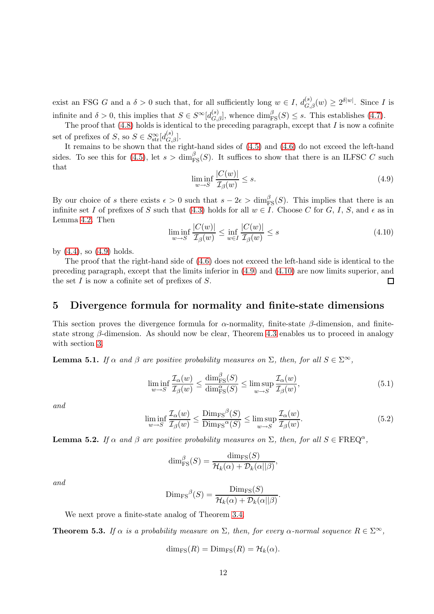exist an FSG G and a  $\delta > 0$  such that, for all sufficiently long  $w \in I$ ,  $d_{G,\beta}(w) \geq 2^{\delta |w|}$ . Since I is infinite and  $\delta > 0$ , this implies that  $S \in S^{\infty}[d_{G,\beta}^{(s)}]$ , whence  $\dim_{\text{FS}}^{\beta}(S) \leq s$ . This establishes [\(4.7\)](#page-10-3).

The proof that  $(4.8)$  holds is identical to the preceding paragraph, except that I is now a cofinite set of prefixes of  $S$ , so  $S \in S_{\text{str}}^{\infty}[d_{G,\beta}^{(s)}].$ 

It remains to be shown that the right-hand sides of  $(4.5)$  and  $(4.6)$  do not exceed the left-hand sides. To see this for [\(4.5\)](#page-10-1), let  $s > \dim_{\text{FS}}^{\beta}(S)$ . It suffices to show that there is an ILFSC C such that

<span id="page-11-1"></span>
$$
\liminf_{w \to S} \frac{|C(w)|}{\mathcal{I}_{\beta}(w)} \le s. \tag{4.9}
$$

By our choice of s there exists  $\epsilon > 0$  such that  $s - 2\epsilon > \dim_{\text{FS}}^{\beta}(S)$ . This implies that there is an infinite set I of prefixes of S such that [\(4.3\)](#page-10-7) holds for all  $w \in I$ . Choose C for G, I, S, and  $\epsilon$  as in Lemma [4.2.](#page-10-8) Then

<span id="page-11-2"></span>
$$
\liminf_{w \to S} \frac{|C(w)|}{\mathcal{I}_{\beta}(w)} \le \inf_{w \in I} \frac{|C(w)|}{\mathcal{I}_{\beta}(w)} \le s \tag{4.10}
$$

by  $(4.4)$ , so  $(4.9)$  holds.

The proof that the right-hand side of [\(4.6\)](#page-10-2) does not exceed the left-hand side is identical to the preceding paragraph, except that the limits inferior in [\(4.9\)](#page-11-1) and [\(4.10\)](#page-11-2) are now limits superior, and the set  $I$  is now a cofinite set of prefixes of  $S$ . □

## <span id="page-11-0"></span>5 Divergence formula for normality and finite-state dimensions

This section proves the divergence formula for  $\alpha$ -normality, finite-state  $\beta$ -dimension, and finitestate strong  $\beta$ -dimension. As should now be clear, Theorem [4.3](#page-10-10) enables us to proceed in analogy with section [3.](#page-8-0)

<span id="page-11-5"></span>**Lemma 5.1.** If  $\alpha$  and  $\beta$  are positive probability measures on  $\Sigma$ , then, for all  $S \in \Sigma^{\infty}$ ,

$$
\liminf_{w \to S} \frac{\mathcal{I}_{\alpha}(w)}{\mathcal{I}_{\beta}(w)} \le \frac{\dim_{\text{FS}}^{\beta}(S)}{\dim_{\text{FS}}^{\alpha}(S)} \le \limsup_{w \to S} \frac{\mathcal{I}_{\alpha}(w)}{\mathcal{I}_{\beta}(w)},\tag{5.1}
$$

and

$$
\liminf_{w \to S} \frac{\mathcal{I}_{\alpha}(w)}{\mathcal{I}_{\beta}(w)} \le \frac{\text{Dim}_{\text{FS}}{}^{\beta}(S)}{\text{Dim}_{\text{FS}}{}^{\alpha}(S)} \le \limsup_{w \to S} \frac{\mathcal{I}_{\alpha}(w)}{\mathcal{I}_{\beta}(w)}.
$$
\n(5.2)

.

<span id="page-11-3"></span>**Lemma 5.2.** If  $\alpha$  and  $\beta$  are positive probability measures on  $\Sigma$ , then, for all  $S \in \text{FREQ}^{\alpha}$ ,

$$
\dim_{\text{FS}}^{\beta}(S) = \frac{\dim_{\text{FS}}(S)}{\mathcal{H}_k(\alpha) + \mathcal{D}_k(\alpha||\beta)},
$$

and

$$
\mathrm{Dim}_{\mathrm{FS}}{}^{\beta}(S) = \frac{\mathrm{Dim}_{\mathrm{FS}}(S)}{\mathcal{H}_k(\alpha) + \mathcal{D}_k(\alpha||\beta)}
$$

<span id="page-11-4"></span>We next prove a finite-state analog of Theorem [3.4.](#page-9-1)

**Theorem 5.3.** If  $\alpha$  is a probability measure on  $\Sigma$ , then, for every  $\alpha$ -normal sequence  $R \in \Sigma^{\infty}$ ,

$$
\dim_{\text{FS}}(R) = \text{Dim}_{\text{FS}}(R) = \mathcal{H}_k(\alpha).
$$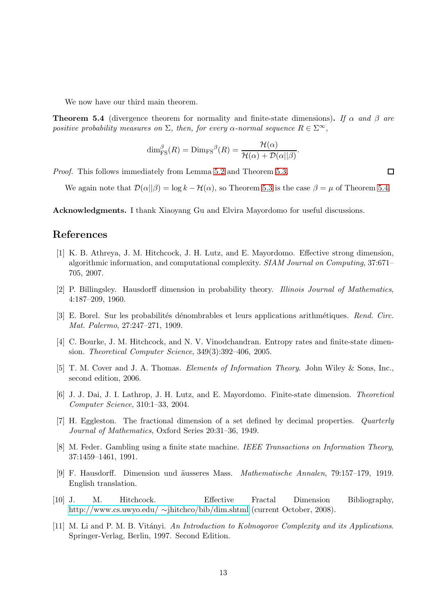<span id="page-12-11"></span>We now have our third main theorem.

**Theorem 5.4** (divergence theorem for normality and finite-state dimensions). If  $\alpha$  and  $\beta$  are positive probability measures on  $\Sigma$ , then, for every  $\alpha$ -normal sequence  $R \in \Sigma^{\infty}$ ,

$$
\dim_{\operatorname{FS}}^{\beta}(R) = \operatorname{Dim}_{\operatorname{FS}}^{\beta}(R) = \frac{\mathcal{H}(\alpha)}{\mathcal{H}(\alpha) + \mathcal{D}(\alpha||\beta)}.
$$

Proof. This follows immediately from Lemma [5.2](#page-11-3) and Theorem [5.3.](#page-11-4)

We again note that  $\mathcal{D}(\alpha||\beta) = \log k - \mathcal{H}(\alpha)$ , so Theorem [5.3](#page-11-4) is the case  $\beta = \mu$  of Theorem [5.4.](#page-12-11)

Acknowledgments. I thank Xiaoyang Gu and Elvira Mayordomo for useful discussions.

## <span id="page-12-1"></span>References

- [1] K. B. Athreya, J. M. Hitchcock, J. H. Lutz, and E. Mayordomo. Effective strong dimension, algorithmic information, and computational complexity. SIAM Journal on Computing, 37:671– 705, 2007.
- <span id="page-12-6"></span><span id="page-12-4"></span>[2] P. Billingsley. Hausdorff dimension in probability theory. Illinois Journal of Mathematics, 4:187–209, 1960.
- [3] E. Borel. Sur les probabilités dénombrables et leurs applications arithmétiques. Rend. Circ. Mat. Palermo, 27:247–271, 1909.
- <span id="page-12-9"></span>[4] C. Bourke, J. M. Hitchcock, and N. V. Vinodchandran. Entropy rates and finite-state dimension. Theoretical Computer Science, 349(3):392–406, 2005.
- <span id="page-12-7"></span><span id="page-12-5"></span>[5] T. M. Cover and J. A. Thomas. Elements of Information Theory. John Wiley & Sons, Inc., second edition, 2006.
- <span id="page-12-10"></span>[6] J. J. Dai, J. I. Lathrop, J. H. Lutz, and E. Mayordomo. Finite-state dimension. Theoretical Computer Science, 310:1–33, 2004.
- <span id="page-12-8"></span>[7] H. Eggleston. The fractional dimension of a set defined by decimal properties. Quarterly Journal of Mathematics, Oxford Series 20:31–36, 1949.
- <span id="page-12-0"></span>[8] M. Feder. Gambling using a finite state machine. IEEE Transactions on Information Theory, 37:1459–1461, 1991.
- [9] F. Hausdorff. Dimension und äusseres Mass. *Mathematische Annalen*, 79:157–179, 1919. English translation.
- <span id="page-12-3"></span>[10] J. M. Hitchcock. Effective Fractal Dimension Bibliography, [http://www.cs.uwyo.edu/](http://www.cs.uwyo.edu/~jhitchco/bib/dim.shtml) ∼jhitchco/bib/dim.shtml (current October, 2008).
- <span id="page-12-2"></span>[11] M. Li and P. M. B. Vitányi. An Introduction to Kolmogorov Complexity and its Applications. Springer-Verlag, Berlin, 1997. Second Edition.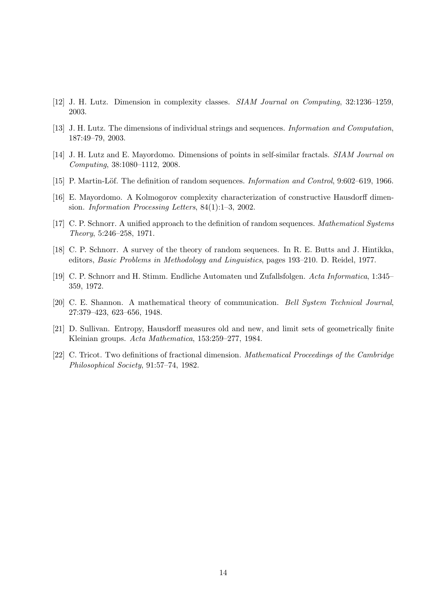- <span id="page-13-6"></span><span id="page-13-2"></span>[12] J. H. Lutz. Dimension in complexity classes. SIAM Journal on Computing, 32:1236–1259, 2003.
- <span id="page-13-4"></span>[13] J. H. Lutz. The dimensions of individual strings and sequences. Information and Computation, 187:49–79, 2003.
- <span id="page-13-7"></span>[14] J. H. Lutz and E. Mayordomo. Dimensions of points in self-similar fractals. SIAM Journal on Computing, 38:1080–1112, 2008.
- <span id="page-13-3"></span>[15] P. Martin-Löf. The definition of random sequences. *Information and Control*, 9:602–619, 1966.
- <span id="page-13-8"></span>[16] E. Mayordomo. A Kolmogorov complexity characterization of constructive Hausdorff dimension. Information Processing Letters, 84(1):1–3, 2002.
- <span id="page-13-9"></span>[17] C. P. Schnorr. A unified approach to the definition of random sequences. Mathematical Systems Theory, 5:246–258, 1971.
- <span id="page-13-10"></span>[18] C. P. Schnorr. A survey of the theory of random sequences. In R. E. Butts and J. Hintikka, editors, Basic Problems in Methodology and Linguistics, pages 193–210. D. Reidel, 1977.
- <span id="page-13-5"></span>[19] C. P. Schnorr and H. Stimm. Endliche Automaten und Zufallsfolgen. Acta Informatica, 1:345– 359, 1972.
- <span id="page-13-1"></span>[20] C. E. Shannon. A mathematical theory of communication. Bell System Technical Journal, 27:379–423, 623–656, 1948.
- <span id="page-13-0"></span>[21] D. Sullivan. Entropy, Hausdorff measures old and new, and limit sets of geometrically finite Kleinian groups. Acta Mathematica, 153:259–277, 1984.
- [22] C. Tricot. Two definitions of fractional dimension. Mathematical Proceedings of the Cambridge Philosophical Society, 91:57–74, 1982.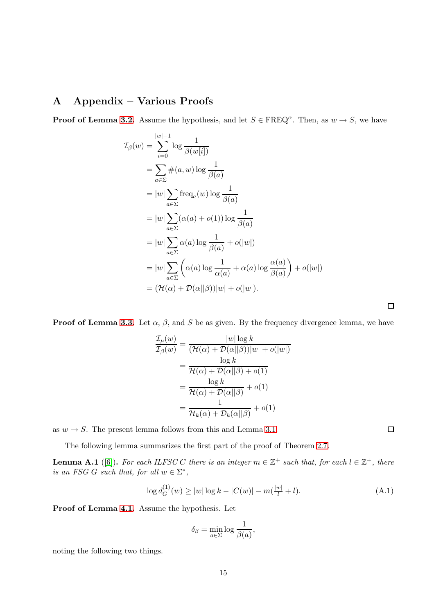# A Appendix – Various Proofs

**Proof of Lemma [3.2.](#page-9-3)** Assume the hypothesis, and let  $S \in \text{FREQ}^{\alpha}$ . Then, as  $w \to S$ , we have

$$
\mathcal{I}_{\beta}(w) = \sum_{i=0}^{|w|-1} \log \frac{1}{\beta(w[i])}
$$
  
\n
$$
= \sum_{a \in \Sigma} \#(a, w) \log \frac{1}{\beta(a)}
$$
  
\n
$$
= |w| \sum_{a \in \Sigma} \text{freq}_a(w) \log \frac{1}{\beta(a)}
$$
  
\n
$$
= |w| \sum_{a \in \Sigma} (\alpha(a) + o(1)) \log \frac{1}{\beta(a)}
$$
  
\n
$$
= |w| \sum_{a \in \Sigma} \alpha(a) \log \frac{1}{\beta(a)} + o(|w|)
$$
  
\n
$$
= |w| \sum_{a \in \Sigma} (\alpha(a) \log \frac{1}{\alpha(a)} + \alpha(a) \log \frac{\alpha(a)}{\beta(a)}) + o(|w|)
$$
  
\n
$$
= (\mathcal{H}(\alpha) + \mathcal{D}(\alpha||\beta)) |w| + o(|w|).
$$

**Proof of Lemma [3.3.](#page-9-0)** Let  $\alpha$ ,  $\beta$ , and S be as given. By the frequency divergence lemma, we have

$$
\frac{\mathcal{I}_{\mu}(w)}{\mathcal{I}_{\beta}(w)} = \frac{|w| \log k}{(\mathcal{H}(\alpha) + \mathcal{D}(\alpha||\beta))|w| + o(|w|)}
$$
\n
$$
= \frac{\log k}{\mathcal{H}(\alpha) + \mathcal{D}(\alpha||\beta) + o(1)}
$$
\n
$$
= \frac{\log k}{\mathcal{H}(\alpha) + \mathcal{D}(\alpha||\beta)} + o(1)
$$
\n
$$
= \frac{1}{\mathcal{H}_k(\alpha) + \mathcal{D}_k(\alpha||\beta)} + o(1)
$$

as  $w \rightarrow S$ . The present lemma follows from this and Lemma [3.1.](#page-8-3)

<span id="page-14-0"></span>The following lemma summarizes the first part of the proof of Theorem [2.7.](#page-8-4)

**Lemma A.1** ([\[6\]](#page-12-5)). For each ILFSC C there is an integer  $m \in \mathbb{Z}^+$  such that, for each  $l \in \mathbb{Z}^+$ , there is an FSG G such that, for all  $w \in \Sigma^*$ ,

<span id="page-14-1"></span>
$$
\log d_G^{(1)}(w) \ge |w| \log k - |C(w)| - m(\frac{|w|}{l} + l). \tag{A.1}
$$

Proof of Lemma [4.1.](#page-10-5) Assume the hypothesis. Let

$$
\delta_{\beta} = \min_{a \in \Sigma} \log \frac{1}{\beta(a)},
$$

noting the following two things.

 $\Box$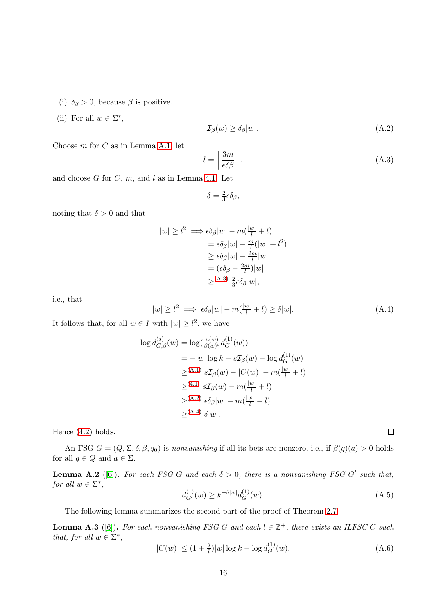- (i)  $\delta_{\beta} > 0$ , because  $\beta$  is positive.
- (ii) For all  $w \in \Sigma^*$ ,

<span id="page-15-1"></span>
$$
\mathcal{I}_{\beta}(w) \ge \delta_{\beta}|w|. \tag{A.2}
$$

Choose  $m$  for  $C$  as in Lemma [A.1,](#page-14-0) let

<span id="page-15-0"></span>
$$
l = \left\lceil \frac{3m}{\epsilon \delta \beta} \right\rceil,\tag{A.3}
$$

and choose  $G$  for  $C, m$ , and  $l$  as in Lemma [4.1.](#page-10-5) Let

$$
\delta = \tfrac{2}{3} \epsilon \delta_\beta,
$$

noting that  $\delta > 0$  and that

$$
|w| \ge l^2 \implies \epsilon \delta_\beta |w| - m(\frac{|w|}{l} + l)
$$
  
=  $\epsilon \delta_\beta |w| - \frac{m}{l} (|w| + l^2)$   
 $\ge \epsilon \delta_\beta |w| - \frac{2m}{l} |w|$   
=  $(\epsilon \delta_\beta - \frac{2m}{l}) |w|$   
 $\ge (A.3) \frac{2}{3} \epsilon \delta_\beta |w|,$ 

i.e., that

<span id="page-15-2"></span>
$$
|w| \ge l^2 \implies \epsilon \delta_\beta |w| - m(\frac{|w|}{l} + l) \ge \delta |w|.
$$
 (A.4)

It follows that, for all  $w \in I$  with  $|w| \geq l^2$ , we have

$$
\log d_{G,\beta}^{(s)}(w) = \log(\frac{\mu(w)}{\beta(w)^s} d_G^{(1)}(w))
$$
  
=  $-|w| \log k + s \mathcal{I}_{\beta}(w) + \log d_G^{(1)}(w)$   
 $\geq^{(A.1)} s \mathcal{I}_{\beta}(w) - |C(w)| - m(\frac{|w|}{l} + l)$   
 $\geq^{(4.1)} s \mathcal{I}_{\beta}(w) - m(\frac{|w|}{l} + l)$   
 $\geq^{(A.2)} \epsilon \delta_{\beta}|w| - m(\frac{|w|}{l} + l)$   
 $\geq^{(A.4)} \delta|w|.$ 

Hence [\(4.2\)](#page-10-11) holds.

<span id="page-15-3"></span>An FSG  $G = (Q, \Sigma, \delta, \beta, q_0)$  is nonvanishing if all its bets are nonzero, i.e., if  $\beta(q)(a) > 0$  holds for all  $q \in Q$  and  $a \in \Sigma$ .

**Lemma A.2** ([\[6\]](#page-12-5)). For each FSG G and each  $\delta > 0$ , there is a nonvanishing FSG G' such that, for all  $w \in \Sigma^*$ ,

<span id="page-15-6"></span>
$$
d_{G'}^{(1)}(w) \ge k^{-\delta |w|} d_G^{(1)}(w). \tag{A.5}
$$

<span id="page-15-4"></span>The following lemma summarizes the second part of the proof of Theorem [2.7.](#page-8-4)

**Lemma A.3** ([\[6\]](#page-12-5)). For each nonvanishing FSG G and each  $l \in \mathbb{Z}^+$ , there exists an ILFSC C such that, for all  $w \in \Sigma^*$ ,  $\sim$ 

<span id="page-15-5"></span>
$$
|C(w)| \le (1 + \frac{2}{l})|w|\log k - \log d_G^{(1)}(w). \tag{A.6}
$$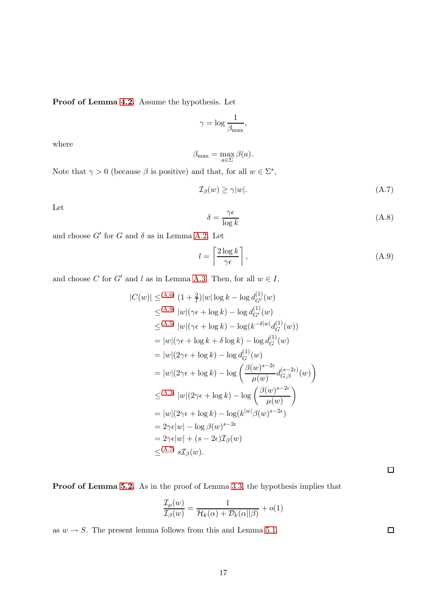Proof of Lemma [4.2.](#page-10-8) Assume the hypothesis. Let

$$
\gamma = \log \frac{1}{\beta_{\max}},
$$

where

$$
\beta_{\max} = \max_{a \in \Sigma} \beta(a).
$$

Note that  $\gamma > 0$  (because  $\beta$  is positive) and that, for all  $w \in \Sigma^*$ ,

<span id="page-16-1"></span>
$$
\mathcal{I}_{\beta}(w) \ge \gamma |w|. \tag{A.7}
$$

Let

$$
\delta = \frac{\gamma \epsilon}{\log k} \tag{A.8}
$$

and choose  $G'$  for G and  $\delta$  as in Lemma [A.2.](#page-15-3) Let

<span id="page-16-0"></span>
$$
l = \left\lceil \frac{2\log k}{\gamma \epsilon} \right\rceil,\tag{A.9}
$$

and choose C for G' and l as in Lemma [A.3.](#page-15-4) Then, for all  $w \in I$ ,

$$
|C(w)| \leq (A.6) (1 + \frac{2}{l})|w| \log k - \log d_{G'}^{(1)}(w)
$$
  
\n
$$
\leq (A.9) |w|(\gamma \epsilon + \log k) - \log d_{G'}^{(1)}(w)
$$
  
\n
$$
\leq (A.5) |w|(\gamma \epsilon + \log k) - \log(k^{-\delta|w|} d_G^{(1)}(w))
$$
  
\n
$$
= |w|(\gamma \epsilon + \log k + \delta \log k) - \log d_G^{(1)}(w)
$$
  
\n
$$
= |w|(2\gamma \epsilon + \log k) - \log d_G^{(1)}(w)
$$
  
\n
$$
= |w|(2\gamma \epsilon + \log k) - \log \left(\frac{\beta(w)^{s-2\epsilon}}{\mu(w)} d_{G,\beta}^{(s-2\epsilon)}(w)\right)
$$
  
\n
$$
\leq (A.3) |w|(2\gamma \epsilon + \log k) - \log \left(\frac{\beta(w)^{s-2\epsilon}}{\mu(w)}\right)
$$
  
\n
$$
= |w|(2\gamma \epsilon + \log k) - \log(k^{|w|} \beta(w)^{s-2\epsilon})
$$
  
\n
$$
= 2\gamma \epsilon |w| - \log \beta(w)^{s-2\epsilon}
$$
  
\n
$$
= 2\gamma \epsilon |w| + (s - 2\epsilon) \mathcal{I}_{\beta}(w)
$$
  
\n
$$
\leq (A.7) s\mathcal{I}_{\beta}(w).
$$

Proof of Lemma [5.2.](#page-11-3) As in the proof of Lemma [3.3,](#page-9-0) the hypothesis implies that

$$
\frac{\mathcal{I}_{\mu}(w)}{\mathcal{I}_{\beta}(w)} = \frac{1}{\mathcal{H}_{k}(\alpha) + \mathcal{D}_{k}(\alpha||\beta)} + o(1)
$$

as  $w \rightarrow S$ . The present lemma follows from this and Lemma [5.1.](#page-11-5)